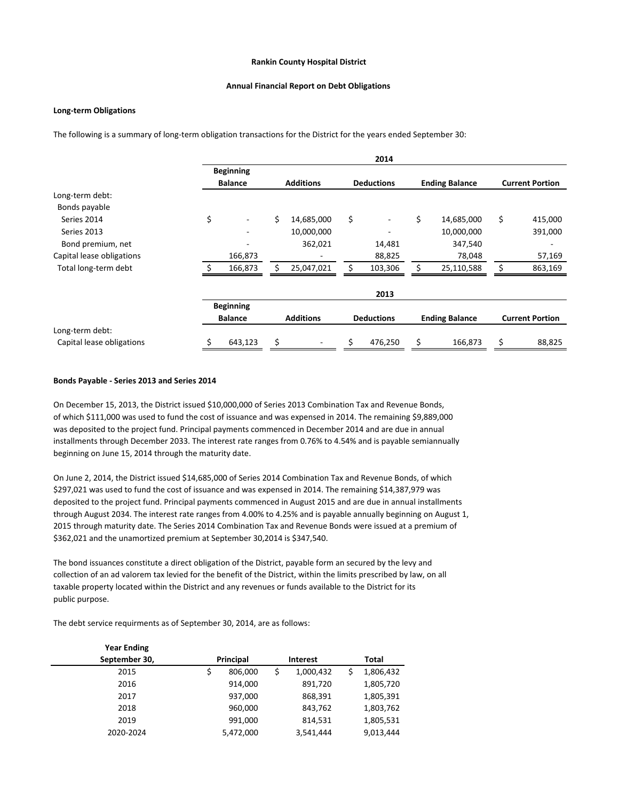### **Rankin County Hospital District**

#### **Annual Financial Report on Debt Obligations**

## **Long-term Obligations**

The following is a summary of long-term obligation transactions for the District for the years ended September 30:

|                           |    |                                    |    |                  |    | 2014              |    |                       |    |                        |
|---------------------------|----|------------------------------------|----|------------------|----|-------------------|----|-----------------------|----|------------------------|
|                           |    | <b>Beginning</b><br><b>Balance</b> |    | <b>Additions</b> |    | <b>Deductions</b> |    | <b>Ending Balance</b> |    | <b>Current Portion</b> |
| Long-term debt:           |    |                                    |    |                  |    |                   |    |                       |    |                        |
| Bonds payable             |    |                                    |    |                  |    |                   |    |                       |    |                        |
| Series 2014               | \$ | $\qquad \qquad -$                  | \$ | 14,685,000       | \$ |                   | \$ | 14,685,000            | \$ | 415,000                |
| Series 2013               |    | ٠                                  |    | 10,000,000       |    |                   |    | 10,000,000            |    | 391,000                |
| Bond premium, net         |    |                                    |    | 362,021          |    | 14,481            |    | 347,540               |    |                        |
| Capital lease obligations |    | 166,873                            |    |                  |    | 88,825            |    | 78,048                |    | 57,169                 |
| Total long-term debt      |    | 166,873                            |    | 25,047,021       |    | 103,306           |    | 25,110,588            |    | 863,169                |
|                           |    |                                    |    |                  |    | 2013              |    |                       |    |                        |
|                           |    | <b>Beginning</b><br><b>Balance</b> |    | <b>Additions</b> |    | <b>Deductions</b> |    | <b>Ending Balance</b> |    | <b>Current Portion</b> |
| Long-term debt:           |    |                                    |    |                  |    |                   |    |                       |    |                        |
| Capital lease obligations |    | 643,123                            |    |                  |    | 476,250           |    | 166,873               | \$ | 88,825                 |

### **Bonds Payable - Series 2013 and Series 2014**

On December 15, 2013, the District issued \$10,000,000 of Series 2013 Combination Tax and Revenue Bonds, of which \$111,000 was used to fund the cost of issuance and was expensed in 2014. The remaining \$9,889,000 was deposited to the project fund. Principal payments commenced in December 2014 and are due in annual installments through December 2033. The interest rate ranges from 0.76% to 4.54% and is payable semiannually beginning on June 15, 2014 through the maturity date.

On June 2, 2014, the District issued \$14,685,000 of Series 2014 Combination Tax and Revenue Bonds, of which \$297,021 was used to fund the cost of issuance and was expensed in 2014. The remaining \$14,387,979 was deposited to the project fund. Principal payments commenced in August 2015 and are due in annual installments through August 2034. The interest rate ranges from 4.00% to 4.25% and is payable annually beginning on August 1, 2015 through maturity date. The Series 2014 Combination Tax and Revenue Bonds were issued at a premium of \$362,021 and the unamortized premium at September 30,2014 is \$347,540.

The bond issuances constitute a direct obligation of the District, payable form an secured by the levy and collection of an ad valorem tax levied for the benefit of the District, within the limits prescribed by law, on all taxable property located within the District and any revenues or funds available to the District for its public purpose.

The debt service requirments as of September 30, 2014, are as follows:

| <b>Year Ending</b> |                  |           |                 |           |       |           |
|--------------------|------------------|-----------|-----------------|-----------|-------|-----------|
| September 30,      | <b>Principal</b> |           | <b>Interest</b> |           | Total |           |
| 2015               |                  | 806,000   | \$              | 1,000,432 |       | 1,806,432 |
| 2016               |                  | 914,000   |                 | 891,720   |       | 1,805,720 |
| 2017               |                  | 937,000   |                 | 868,391   |       | 1,805,391 |
| 2018               |                  | 960,000   |                 | 843,762   |       | 1,803,762 |
| 2019               |                  | 991,000   |                 | 814,531   |       | 1,805,531 |
| 2020-2024          |                  | 5,472,000 |                 | 3,541,444 |       | 9,013,444 |
|                    |                  |           |                 |           |       |           |